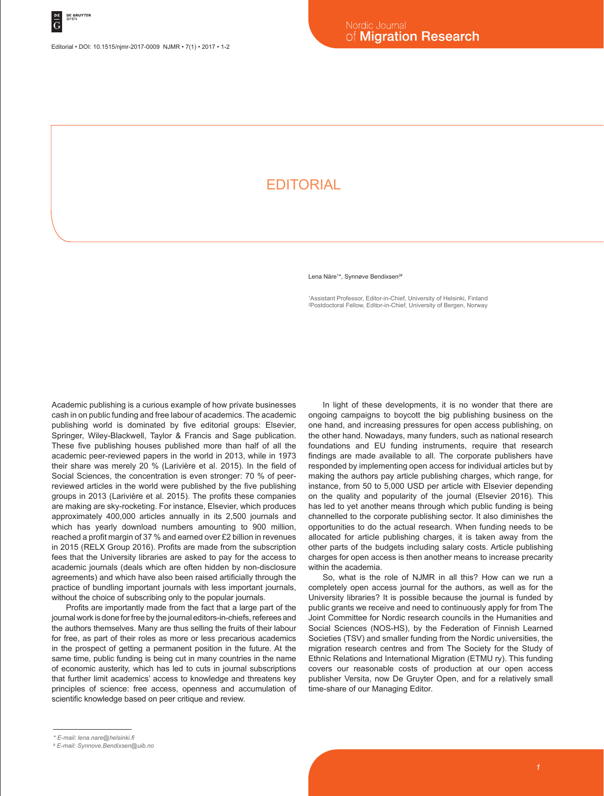## **EDITORIAL**

Lena Näre<sup>1\*</sup>, Synnøve Bendixsen<sup>2#</sup>

1 Assistant Professor, Editor-in-Chief, University of Helsinki, Finland 2 Postdoctoral Fellow, Editor-in-Chief, University of Bergen, Norway

Academic publishing is a curious example of how private businesses cash in on public funding and free labour of academics. The academic publishing world is dominated by five editorial groups: Elsevier, Springer, Wiley-Blackwell, Taylor & Francis and Sage publication. These five publishing houses published more than half of all the academic peer-reviewed papers in the world in 2013, while in 1973 their share was merely 20 % (Larivière et al. 2015). In the field of Social Sciences, the concentration is even stronger: 70 % of peerreviewed articles in the world were published by the five publishing groups in 2013 (Larivière et al. 2015). The profits these companies are making are sky-rocketing. For instance, Elsevier, which produces approximately 400,000 articles annually in its 2,500 journals and which has yearly download numbers amounting to 900 million, reached a profit margin of 37 % and earned over £2 billion in revenues in 2015 (RELX Group 2016). Profits are made from the subscription fees that the University libraries are asked to pay for the access to academic journals (deals which are often hidden by non-disclosure agreements) and which have also been raised artificially through the practice of bundling important journals with less important journals, without the choice of subscribing only to the popular journals.

Profits are importantly made from the fact that a large part of the journal work is done for free by the journal editors-in-chiefs, referees and the authors themselves. Many are thus selling the fruits of their labour for free, as part of their roles as more or less precarious academics in the prospect of getting a permanent position in the future. At the same time, public funding is being cut in many countries in the name of economic austerity, which has led to cuts in journal subscriptions that further limit academics' access to knowledge and threatens key principles of science: free access, openness and accumulation of scientific knowledge based on peer critique and review.

In light of these developments, it is no wonder that there are ongoing campaigns to boycott the big publishing business on the one hand, and increasing pressures for open access publishing, on the other hand. Nowadays, many funders, such as national research foundations and EU funding instruments, require that research findings are made available to all. The corporate publishers have responded by implementing open access for individual articles but by making the authors pay article publishing charges, which range, for instance, from 50 to 5,000 USD per article with Elsevier depending on the quality and popularity of the journal (Elsevier 2016). This has led to yet another means through which public funding is being channelled to the corporate publishing sector. It also diminishes the opportunities to do the actual research. When funding needs to be allocated for article publishing charges, it is taken away from the other parts of the budgets including salary costs. Article publishing charges for open access is then another means to increase precarity within the academia.

So, what is the role of NJMR in all this? How can we run a completely open access journal for the authors, as well as for the University libraries? It is possible because the journal is funded by public grants we receive and need to continuously apply for from The Joint Committee for Nordic research councils in the Humanities and Social Sciences (NOS-HS), by the Federation of Finnish Learned Societies (TSV) and smaller funding from the Nordic universities, the migration research centres and from The Society for the Study of Ethnic Relations and International Migration (ETMU ry). This funding covers our reasonable costs of production at our open access publisher Versita, now De Gruyter Open, and for a relatively small time-share of our Managing Editor.

*<sup>\*</sup> E-mail: lena.nare@helsinki.fi*

*<sup>#</sup> E-mail: Synnove.Bendixsen@uib.no*